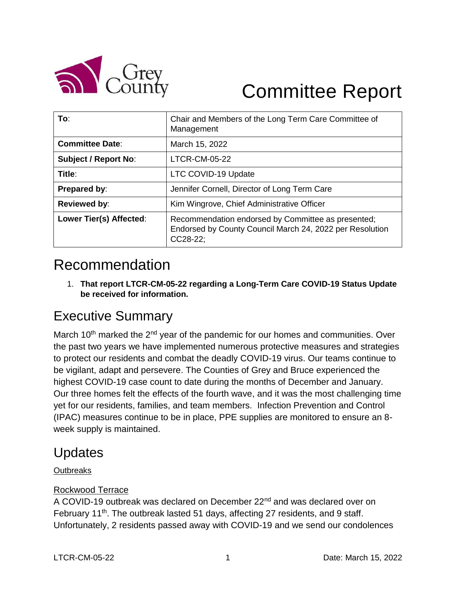

# Committee Report

| To:                         | Chair and Members of the Long Term Care Committee of<br>Management                                                         |
|-----------------------------|----------------------------------------------------------------------------------------------------------------------------|
| <b>Committee Date:</b>      | March 15, 2022                                                                                                             |
| <b>Subject / Report No:</b> | <b>LTCR-CM-05-22</b>                                                                                                       |
| Title:                      | LTC COVID-19 Update                                                                                                        |
| Prepared by:                | Jennifer Cornell, Director of Long Term Care                                                                               |
| <b>Reviewed by:</b>         | Kim Wingrove, Chief Administrative Officer                                                                                 |
| Lower Tier(s) Affected:     | Recommendation endorsed by Committee as presented;<br>Endorsed by County Council March 24, 2022 per Resolution<br>CC28-22; |

## Recommendation

1. **That report LTCR-CM-05-22 regarding a Long-Term Care COVID-19 Status Update be received for information.** 

### Executive Summary

March 10<sup>th</sup> marked the  $2<sup>nd</sup>$  year of the pandemic for our homes and communities. Over the past two years we have implemented numerous protective measures and strategies to protect our residents and combat the deadly COVID-19 virus. Our teams continue to be vigilant, adapt and persevere. The Counties of Grey and Bruce experienced the highest COVID-19 case count to date during the months of December and January. Our three homes felt the effects of the fourth wave, and it was the most challenging time yet for our residents, families, and team members. Infection Prevention and Control (IPAC) measures continue to be in place, PPE supplies are monitored to ensure an 8 week supply is maintained.

### **Updates**

#### **Outbreaks**

#### Rockwood Terrace

A COVID-19 outbreak was declared on December 22<sup>nd</sup> and was declared over on February 11<sup>th</sup>. The outbreak lasted 51 days, affecting 27 residents, and 9 staff. Unfortunately, 2 residents passed away with COVID-19 and we send our condolences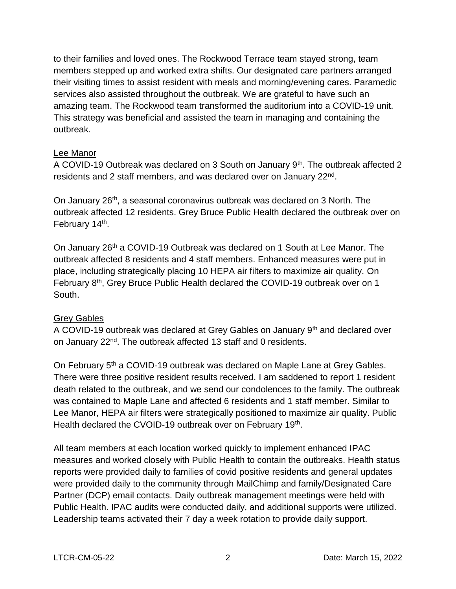to their families and loved ones. The Rockwood Terrace team stayed strong, team members stepped up and worked extra shifts. Our designated care partners arranged their visiting times to assist resident with meals and morning/evening cares. Paramedic services also assisted throughout the outbreak. We are grateful to have such an amazing team. The Rockwood team transformed the auditorium into a COVID-19 unit. This strategy was beneficial and assisted the team in managing and containing the outbreak.

#### Lee Manor

A COVID-19 Outbreak was declared on 3 South on January 9<sup>th</sup>. The outbreak affected 2 residents and 2 staff members, and was declared over on January 22<sup>nd</sup>.

On January 26<sup>th</sup>, a seasonal coronavirus outbreak was declared on 3 North. The outbreak affected 12 residents. Grey Bruce Public Health declared the outbreak over on February 14<sup>th</sup>.

On January 26<sup>th</sup> a COVID-19 Outbreak was declared on 1 South at Lee Manor. The outbreak affected 8 residents and 4 staff members. Enhanced measures were put in place, including strategically placing 10 HEPA air filters to maximize air quality. On February 8th, Grey Bruce Public Health declared the COVID-19 outbreak over on 1 South.

#### Grey Gables

A COVID-19 outbreak was declared at Grey Gables on January 9th and declared over on January 22<sup>nd</sup>. The outbreak affected 13 staff and 0 residents.

On February 5<sup>th</sup> a COVID-19 outbreak was declared on Maple Lane at Grey Gables. There were three positive resident results received. I am saddened to report 1 resident death related to the outbreak, and we send our condolences to the family. The outbreak was contained to Maple Lane and affected 6 residents and 1 staff member. Similar to Lee Manor, HEPA air filters were strategically positioned to maximize air quality. Public Health declared the CVOID-19 outbreak over on February 19<sup>th</sup>.

All team members at each location worked quickly to implement enhanced IPAC measures and worked closely with Public Health to contain the outbreaks. Health status reports were provided daily to families of covid positive residents and general updates were provided daily to the community through MailChimp and family/Designated Care Partner (DCP) email contacts. Daily outbreak management meetings were held with Public Health. IPAC audits were conducted daily, and additional supports were utilized. Leadership teams activated their 7 day a week rotation to provide daily support.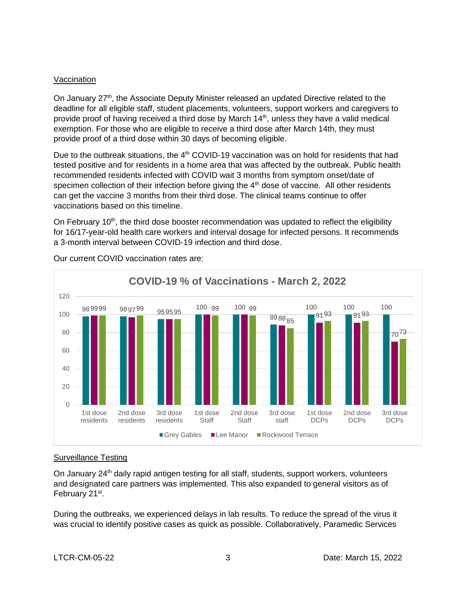#### Vaccination

On January 27<sup>th</sup>, the Associate Deputy Minister released an updated Directive related to the deadline for all eligible staff, student placements, volunteers, support workers and caregivers to provide proof of having received a third dose by March 14<sup>th</sup>, unless they have a valid medical exemption. For those who are eligible to receive a third dose after March 14th, they must provide proof of a third dose within 30 days of becoming eligible.

Due to the outbreak situations, the 4<sup>th</sup> COVID-19 vaccination was on hold for residents that had tested positive and for residents in a home area that was affected by the outbreak. Public health recommended residents infected with COVID wait 3 months from symptom onset/date of specimen collection of their infection before giving the 4<sup>th</sup> dose of vaccine. All other residents can get the vaccine 3 months from their third dose. The clinical teams continue to offer vaccinations based on this timeline.

On February 10<sup>th</sup>, the third dose booster recommendation was updated to reflect the eligibility for 16/17-year-old health care workers and interval dosage for infected persons. It recommends a 3-month interval between COVID-19 infection and third dose.



Our current COVID vaccination rates are:

#### Surveillance Testing

On January 24<sup>th</sup> daily rapid antigen testing for all staff, students, support workers, volunteers and designated care partners was implemented. This also expanded to general visitors as of February 21<sup>st</sup>.

During the outbreaks, we experienced delays in lab results. To reduce the spread of the virus it was crucial to identify positive cases as quick as possible. Collaboratively, Paramedic Services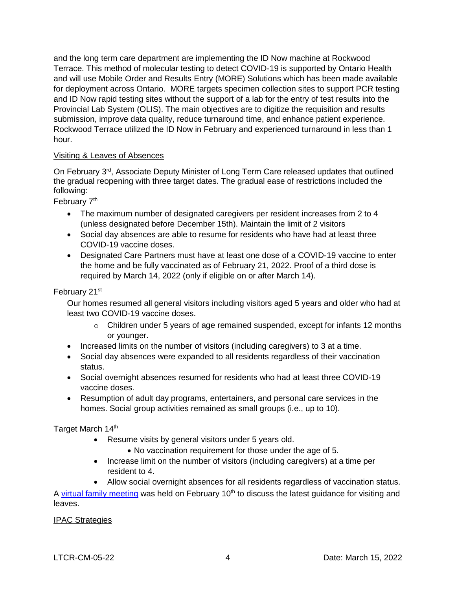and the long term care department are implementing the ID Now machine at Rockwood Terrace. This method of molecular testing to detect COVID-19 is supported by Ontario Health and will use Mobile Order and Results Entry (MORE) Solutions which has been made available for deployment across Ontario. MORE targets specimen collection sites to support PCR testing and ID Now rapid testing sites without the support of a lab for the entry of test results into the Provincial Lab System (OLIS). The main objectives are to digitize the requisition and results submission, improve data quality, reduce turnaround time, and enhance patient experience. Rockwood Terrace utilized the ID Now in February and experienced turnaround in less than 1 hour.

#### Visiting & Leaves of Absences

On February 3<sup>rd</sup>, Associate Deputy Minister of Long Term Care released updates that outlined the gradual reopening with three target dates. The gradual ease of restrictions included the following:

February 7<sup>th</sup>

- The maximum number of designated caregivers per resident increases from 2 to 4 (unless designated before December 15th). Maintain the limit of 2 visitors
- Social day absences are able to resume for residents who have had at least three COVID-19 vaccine doses.
- Designated Care Partners must have at least one dose of a COVID-19 vaccine to enter the home and be fully vaccinated as of February 21, 2022. Proof of a third dose is required by March 14, 2022 (only if eligible on or after March 14).

#### February 21st

Our homes resumed all general visitors including visitors aged 5 years and older who had at least two COVID-19 vaccine doses.

- $\circ$  Children under 5 years of age remained suspended, except for infants 12 months or younger.
- Increased limits on the number of visitors (including caregivers) to 3 at a time.
- Social day absences were expanded to all residents regardless of their vaccination status.
- Social overnight absences resumed for residents who had at least three COVID-19 vaccine doses.
- Resumption of adult day programs, entertainers, and personal care services in the homes. Social group activities remained as small groups (i.e., up to 10).

Target March 14th

- Resume visits by general visitors under 5 years old.
	- No vaccination requirement for those under the age of 5.
- Increase limit on the number of visitors (including caregivers) at a time per resident to 4.
- Allow social overnight absences for all residents regardless of vaccination status.

A [virtual family meeting](https://www.youtube.com/watch?v=1f2aCfJJj5Q&feature=youtu.be) was held on February 10<sup>th</sup> to discuss the latest guidance for visiting and leaves.

IPAC Strategies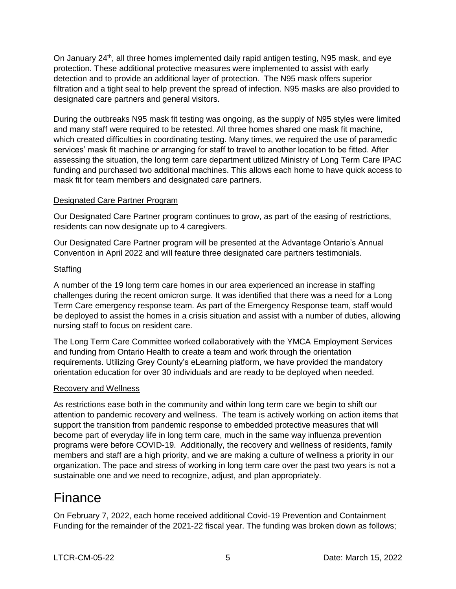On January 24<sup>th</sup>, all three homes implemented daily rapid antigen testing, N95 mask, and eye protection. These additional protective measures were implemented to assist with early detection and to provide an additional layer of protection. The N95 mask offers superior filtration and a tight seal to help prevent the spread of infection. N95 masks are also provided to designated care partners and general visitors.

During the outbreaks N95 mask fit testing was ongoing, as the supply of N95 styles were limited and many staff were required to be retested. All three homes shared one mask fit machine, which created difficulties in coordinating testing. Many times, we required the use of paramedic services' mask fit machine or arranging for staff to travel to another location to be fitted. After assessing the situation, the long term care department utilized Ministry of Long Term Care IPAC funding and purchased two additional machines. This allows each home to have quick access to mask fit for team members and designated care partners.

#### Designated Care Partner Program

Our Designated Care Partner program continues to grow, as part of the easing of restrictions, residents can now designate up to 4 caregivers.

Our Designated Care Partner program will be presented at the Advantage Ontario's Annual Convention in April 2022 and will feature three designated care partners testimonials.

#### **Staffing**

A number of the 19 long term care homes in our area experienced an increase in staffing challenges during the recent omicron surge. It was identified that there was a need for a Long Term Care emergency response team. As part of the Emergency Response team, staff would be deployed to assist the homes in a crisis situation and assist with a number of duties, allowing nursing staff to focus on resident care.

The Long Term Care Committee worked collaboratively with the YMCA Employment Services and funding from Ontario Health to create a team and work through the orientation requirements. Utilizing Grey County's eLearning platform, we have provided the mandatory orientation education for over 30 individuals and are ready to be deployed when needed.

#### Recovery and Wellness

As restrictions ease both in the community and within long term care we begin to shift our attention to pandemic recovery and wellness. The team is actively working on action items that support the transition from pandemic response to embedded protective measures that will become part of everyday life in long term care, much in the same way influenza prevention programs were before COVID-19. Additionally, the recovery and wellness of residents, family members and staff are a high priority, and we are making a culture of wellness a priority in our organization. The pace and stress of working in long term care over the past two years is not a sustainable one and we need to recognize, adjust, and plan appropriately.

### Finance

On February 7, 2022, each home received additional Covid-19 Prevention and Containment Funding for the remainder of the 2021-22 fiscal year. The funding was broken down as follows;